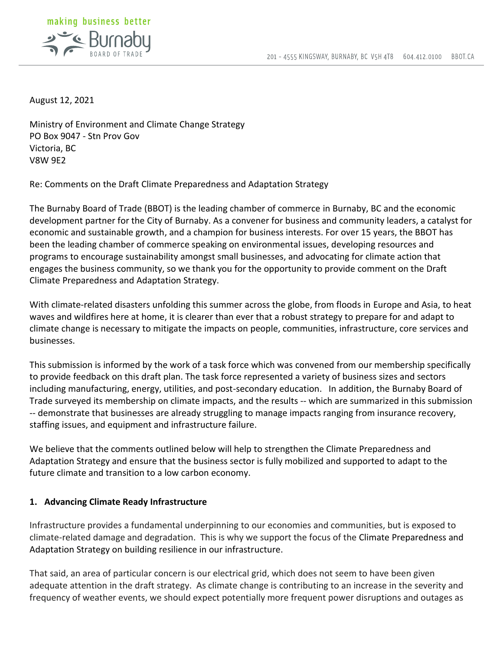

August 12, 2021

Ministry of Environment and Climate Change Strategy PO Box 9047 - Stn Prov Gov Victoria, BC V8W 9E2

Re: Comments on the Draft Climate Preparedness and Adaptation Strategy

The Burnaby Board of Trade (BBOT) is the leading chamber of commerce in Burnaby, BC and the economic development partner for the City of Burnaby. As a convener for business and community leaders, a catalyst for economic and sustainable growth, and a champion for business interests. For over 15 years, the BBOT has been the leading chamber of commerce speaking on environmental issues, developing resources and programs to encourage sustainability amongst small businesses, and advocating for climate action that engages the business community, so we thank you for the opportunity to provide comment on the Draft Climate Preparedness and Adaptation Strategy.

With climate-related disasters unfolding this summer across the globe, from floods in Europe and Asia, to heat waves and wildfires here at home, it is clearer than ever that a robust strategy to prepare for and adapt to climate change is necessary to mitigate the impacts on people, communities, infrastructure, core services and businesses.

This submission is informed by the work of a task force which was convened from our membership specifically to provide feedback on this draft plan. The task force represented a variety of business sizes and sectors including manufacturing, energy, utilities, and post-secondary education. In addition, the Burnaby Board of Trade surveyed its membership on climate impacts, and the results -- which are summarized in this submission -- demonstrate that businesses are already struggling to manage impacts ranging from insurance recovery, staffing issues, and equipment and infrastructure failure.

We believe that the comments outlined below will help to strengthen the Climate Preparedness and Adaptation Strategy and ensure that the business sector is fully mobilized and supported to adapt to the future climate and transition to a low carbon economy.

## **1. Advancing Climate Ready Infrastructure**

Infrastructure provides a fundamental underpinning to our economies and communities, but is exposed to climate-related damage and degradation. This is why we support the focus of the Climate Preparedness and Adaptation Strategy on building resilience in our infrastructure.

That said, an area of particular concern is our electrical grid, which does not seem to have been given adequate attention in the draft strategy. As climate change is contributing to an increase in the severity and frequency of weather events, we should expect potentially more frequent power disruptions and outages as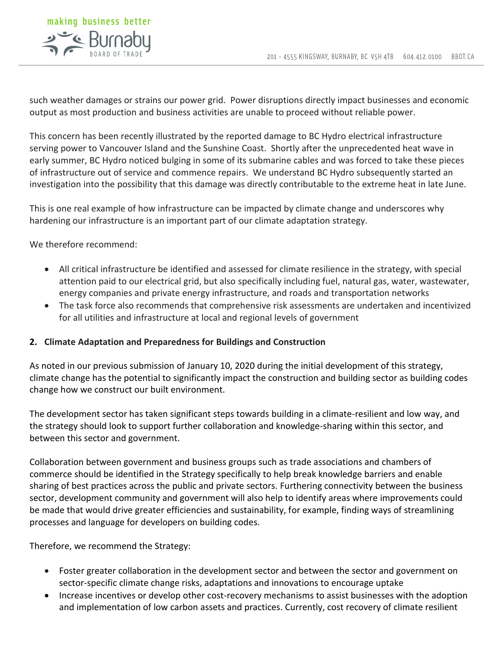

such weather damages or strains our power grid. Power disruptions directly impact businesses and economic output as most production and business activities are unable to proceed without reliable power.

This concern has been recently illustrated by the reported damage to BC Hydro electrical infrastructure serving power to Vancouver Island and the Sunshine Coast. Shortly after the unprecedented heat wave in early summer, BC Hydro noticed bulging in some of its submarine cables and was forced to take these pieces of infrastructure out of service and commence repairs. We understand BC Hydro subsequently started an investigation into the possibility that this damage was directly contributable to the extreme heat in late June.

This is one real example of how infrastructure can be impacted by climate change and underscores why hardening our infrastructure is an important part of our climate adaptation strategy.

We therefore recommend:

- All critical infrastructure be identified and assessed for climate resilience in the strategy, with special attention paid to our electrical grid, but also specifically including fuel, natural gas, water, wastewater, energy companies and private energy infrastructure, and roads and transportation networks
- The task force also recommends that comprehensive risk assessments are undertaken and incentivized for all utilities and infrastructure at local and regional levels of government

## **2. Climate Adaptation and Preparedness for Buildings and Construction**

As noted in our previous submission of January 10, 2020 during the initial development of this strategy, climate change has the potential to significantly impact the construction and building sector as building codes change how we construct our built environment.

The development sector has taken significant steps towards building in a climate-resilient and low way, and the strategy should look to support further collaboration and knowledge-sharing within this sector, and between this sector and government.

Collaboration between government and business groups such as trade associations and chambers of commerce should be identified in the Strategy specifically to help break knowledge barriers and enable sharing of best practices across the public and private sectors. Furthering connectivity between the business sector, development community and government will also help to identify areas where improvements could be made that would drive greater efficiencies and sustainability, for example, finding ways of streamlining processes and language for developers on building codes.

Therefore, we recommend the Strategy:

- Foster greater collaboration in the development sector and between the sector and government on sector-specific climate change risks, adaptations and innovations to encourage uptake
- Increase incentives or develop other cost-recovery mechanisms to assist businesses with the adoption and implementation of low carbon assets and practices. Currently, cost recovery of climate resilient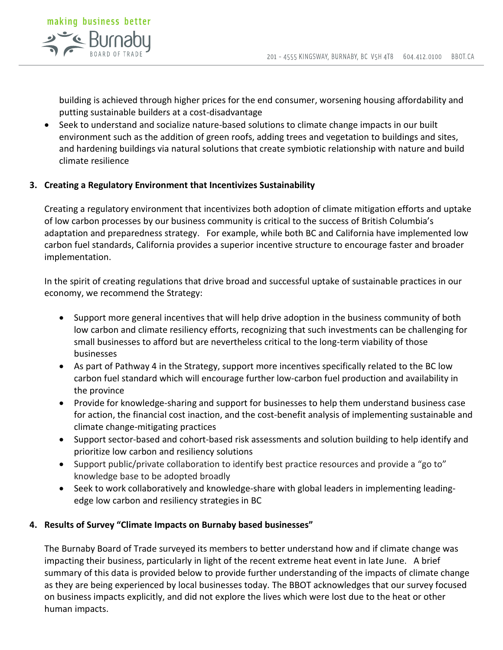

building is achieved through higher prices for the end consumer, worsening housing affordability and putting sustainable builders at a cost-disadvantage

• Seek to understand and socialize nature-based solutions to climate change impacts in our built environment such as the addition of green roofs, adding trees and vegetation to buildings and sites, and hardening buildings via natural solutions that create symbiotic relationship with nature and build climate resilience

## **3. Creating a Regulatory Environment that Incentivizes Sustainability**

Creating a regulatory environment that incentivizes both adoption of climate mitigation efforts and uptake of low carbon processes by our business community is critical to the success of British Columbia's adaptation and preparedness strategy. For example, while both BC and California have implemented low carbon fuel standards, California provides a superior incentive structure to encourage faster and broader implementation.

In the spirit of creating regulations that drive broad and successful uptake of sustainable practices in our economy, we recommend the Strategy:

- Support more general incentives that will help drive adoption in the business community of both low carbon and climate resiliency efforts, recognizing that such investments can be challenging for small businesses to afford but are nevertheless critical to the long-term viability of those businesses
- As part of Pathway 4 in the Strategy, support more incentives specifically related to the BC low carbon fuel standard which will encourage further low-carbon fuel production and availability in the province
- Provide for knowledge-sharing and support for businesses to help them understand business case for action, the financial cost inaction, and the cost-benefit analysis of implementing sustainable and climate change-mitigating practices
- Support sector-based and cohort-based risk assessments and solution building to help identify and prioritize low carbon and resiliency solutions
- Support public/private collaboration to identify best practice resources and provide a "go to" knowledge base to be adopted broadly
- Seek to work collaboratively and knowledge-share with global leaders in implementing leadingedge low carbon and resiliency strategies in BC

## **4. Results of Survey "Climate Impacts on Burnaby based businesses"**

The Burnaby Board of Trade surveyed its members to better understand how and if climate change was impacting their business, particularly in light of the recent extreme heat event in late June. A brief summary of this data is provided below to provide further understanding of the impacts of climate change as they are being experienced by local businesses today. The BBOT acknowledges that our survey focused on business impacts explicitly, and did not explore the lives which were lost due to the heat or other human impacts.